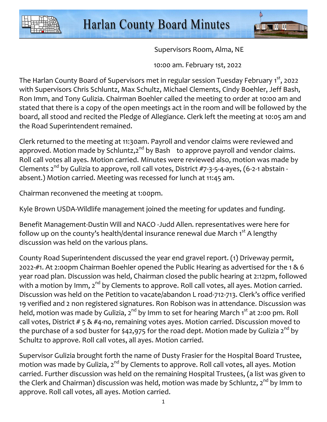



Supervisors Room, Alma, NE

10:00 am. February 1st, 2022

The Harlan County Board of Supervisors met in regular session Tuesday February 1<sup>st</sup>, 2022 with Supervisors Chris Schluntz, Max Schultz, Michael Clements, Cindy Boehler, Jeff Bash, Ron Imm, and Tony Gulizia. Chairman Boehler called the meeting to order at 10:00 am and stated that there is a copy of the open meetings act in the room and will be followed by the board, all stood and recited the Pledge of Allegiance. Clerk left the meeting at 10:05 am and the Road Superintendent remained.

Clerk returned to the meeting at 11:30am. Payroll and vendor claims were reviewed and approved. Motion made by Schluntz, $2^{nd}$  by Bash to approve payroll and vendor claims. Roll call votes all ayes. Motion carried. Minutes were reviewed also, motion was made by Clements  $2^{nd}$  by Gulizia to approve, roll call votes, District  $#7-3-5-4$ -ayes, (6-2-1 abstain absent.) Motion carried. Meeting was recessed for lunch at 11:45 am.

Chairman reconvened the meeting at 1:00pm.

Kyle Brown USDA-Wildlife management joined the meeting for updates and funding.

Benefit Management-Dustin Will and NACO -Judd Allen. representatives were here for follow up on the county's health/dental insurance renewal due March  $1<sup>st</sup>$  A lengthy discussion was held on the various plans.

County Road Superintendent discussed the year end gravel report. (1) Driveway permit, 2022-#1. At 2:00pm Chairman Boehler opened the Public Hearing as advertised for the 1 & 6 year road plan. Discussion was held, Chairman closed the public hearing at 2:12pm, followed with a motion by Imm,  $2^{nd}$  by Clements to approve. Roll call votes, all ayes. Motion carried. Discussion was held on the Petition to vacate/abandon L road-712-713. Clerk's office verified 19 verified and 2 non registered signatures. Ron Robison was in attendance. Discussion was held, motion was made by Gulizia,  $2^{nd}$  by Imm to set for hearing March 1<sup>st</sup> at 2:00 pm. Roll call votes, District # 5 & #4-no, remaining votes ayes. Motion carried. Discussion moved to the purchase of a sod buster for \$42,975 for the road dept. Motion made by Gulizia 2<sup>nd</sup> by Schultz to approve. Roll call votes, all ayes. Motion carried.

Supervisor Gulizia brought forth the name of Dusty Frasier for the Hospital Board Trustee, motion was made by Gulizia,  $2^{nd}$  by Clements to approve. Roll call votes, all ayes. Motion carried. Further discussion was held on the remaining Hospital Trustees, (a list was given to the Clerk and Chairman) discussion was held, motion was made by Schluntz,  $2^{nd}$  by Imm to approve. Roll call votes, all ayes. Motion carried.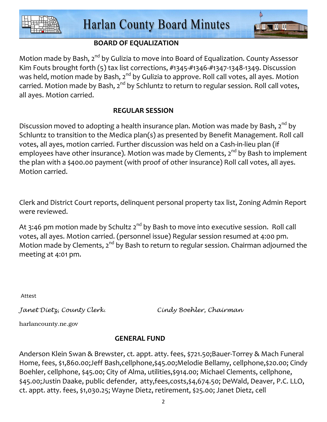

**DE UL SUE DE DE** 



Motion made by Bash, 2<sup>nd</sup> by Gulizia to move into Board of Equalization. County Assessor Kim Fouts brought forth (5) tax list corrections, #1345-#1346-#1347-1348-1349. Discussion was held, motion made by Bash, 2<sup>nd</sup> by Gulizia to approve. Roll call votes, all ayes. Motion carried. Motion made by Bash, 2<sup>nd</sup> by Schluntz to return to regular session. Roll call votes, all ayes. Motion carried.

# **REGULAR SESSION**

Discussion moved to adopting a health insurance plan. Motion was made by Bash,  $2^{nd}$  by Schluntz to transition to the Medica plan(s) as presented by Benefit Management. Roll call votes, all ayes, motion carried. Further discussion was held on a Cash-in-lieu plan (if employees have other insurance). Motion was made by Clements,  $2^{nd}$  by Bash to implement the plan with a \$400.00 payment (with proof of other insurance) Roll call votes, all ayes. Motion carried.

Clerk and District Court reports, delinquent personal property tax list, Zoning Admin Report were reviewed.

At 3:46 pm motion made by Schultz  $2^{nd}$  by Bash to move into executive session. Roll call votes, all ayes. Motion carried. (personnel issue) Regular session resumed at 4:00 pm. Motion made by Clements,  $2^{nd}$  by Bash to return to regular session. Chairman adjourned the meeting at 4:01 pm.

Attest

Janet Dietz, County Clerk. Cindy Boehler, Chairman

harlancounty.ne.gov

## **GENERAL FUND**

Anderson Klein Swan & Brewster, ct. appt. atty. fees, \$721.50;Bauer-Torrey & Mach Funeral Home, fees, \$1,860.00;Jeff Bash,cellphone,\$45.00;Melodie Bellamy, cellphone,\$20.00; Cindy Boehler, cellphone, \$45.00; City of Alma, utilities,\$914.00; Michael Clements, cellphone, \$45.00;Justin Daake, public defender, atty,fees,costs,\$4,674.50; DeWald, Deaver, P.C. LLO, ct. appt. atty. fees, \$1,030.25; Wayne Dietz, retirement, \$25.00; Janet Dietz, cell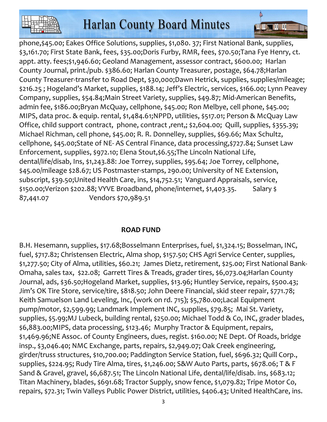

**ATTENDAM DD. DD** 

phone,\$45.00; Eakes Office Solutions, supplies, \$1,080. 37; First National Bank, supplies, \$3,161.70; First State Bank, fees, \$35.00;Doris Furby, RMR, fees, \$70.50;Tana Fye Henry, ct. appt. atty. fees;\$1,946.60; Geoland Management, assessor contract, \$600.00; Harlan County Journal, print./pub. \$386.60; Harlan County Treasurer, postage, \$64.78;Harlan County Treasurer-transfer to Road Dept, \$30,000;Dawn Hetrick, supplies, supplies/mileage; \$216.25 ; Hogeland's Market, supplies, \$188.14; Jeff's Electric, services, \$166.00; Lynn Peavey Company, supplies, \$54.84;Main Street Variety, supplies, \$49.87; Mid-American Benefits, admin fee, \$186.00;Bryan McQuay, cellphone, \$45.00; Ron Melbye, cell phone, \$45.00; MIPS, data proc. & equip. rental, \$1,484.61;NPPD, utilities, \$517.01; Person & McQuay Law Office, child support contract, phone, contract ,rent,; \$2,604.00; Quill, supplies, \$355.39; Michael Richman, cell phone, \$45.00; R. R. Donnelley, supplies, \$69.66; Max Schultz, cellphone, \$45.00;State of NE- AS Central Finance, data processing,\$727.84; Sunset Law Enforcement, supplies, \$972.10; Elena Stout,\$6.55;The Lincoln National Life, dental/life/disab, Ins, \$1,243.88: Joe Torrey, supplies, \$95.64; Joe Torrey, cellphone, \$45.00/mileage \$28.67; US Postmaster-stamps, 290.00; University of NE Extension, subscript, \$39.50;United Health Care, ins, \$14,752.51; Vanguard Appraisals, service, \$150.00;Verizon \$202.88; VYVE Broadband, phone/internet, \$1,403.35. Salary \$ 87,441.07 Vendors \$70,989.51

## **ROAD FUND**

B.H. Hesemann, supplies, \$17.68;Bosselmann Enterprises, fuel, \$1,324.15; Bosselman, INC, fuel, \$717.82; Christensen Electric, Alma shop, \$157.50; CHS Agri Service Center, supplies, \$1,277.50; City of Alma, utilities, \$60.21; James Dietz, retirement, \$25.00; First National Bank-Omaha, sales tax, \$22.08; Garrett Tires & Treads, grader tires, \$6,073.04;Harlan County Journal, ads, \$36.50;Hogeland Market, supplies, \$13.96; Huntley Service, repairs, \$500.43; Jim's OK Tire Store, service/tire, \$818.50; John Deere Financial, skid steer repair, \$771.78; Keith Samuelson Land Leveling, Inc, (work on rd. 715); \$5,780.00;Lacal Equipment pump/motor, \$2,599.99; Landmark Implement INC, supplies, \$79.85; Mai St. Variety, supplies, \$5.99;MJ Lubeck, building rental, \$250.00; Michael Todd & Co, INC, grader blades, \$6,883.00;MIPS, data processing, \$123.46; Murphy Tractor & Equipment, repairs, \$1,469.96;NE Assoc. of County Engineers, dues, regist. \$160.00; NE Dept. Of Roads, bridge insp., \$3,046.40; NMC Exchange, parts, repairs, \$2,949.07; Oak Creek engineering, girder/truss structures, \$10,700.00; Paddington Service Station, fuel, \$696.32; Quill Corp., supplies, \$224.95; Rudy Tire Alma, tires, \$1,246.00; S&W Auto Parts, parts, \$678.06; T & F Sand & Gravel, gravel, \$6,687.51; The Lincoln National Life, dental/life/disab. ins, \$683.12; Titan Machinery, blades, \$691.68; Tractor Supply, snow fence, \$1,079.82; Tripe Motor Co, repairs, \$72.31; Twin Valleys Public Power District, utilities, \$406.43; United HealthCare, ins.